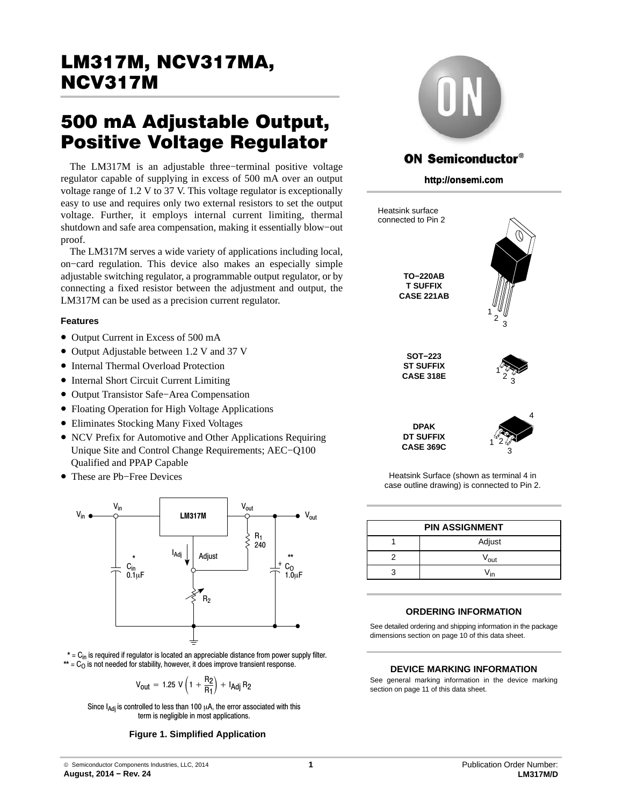# 500 mA Adjustable Output, Positive Voltage Regulator

The LM317M is an adjustable three−terminal positive voltage regulator capable of supplying in excess of 500 mA over an output voltage range of 1.2 V to 37 V. This voltage regulator is exceptionally easy to use and requires only two external resistors to set the output voltage. Further, it employs internal current limiting, thermal shutdown and safe area compensation, making it essentially blow−out proof.

The LM317M serves a wide variety of applications including local, on−card regulation. This device also makes an especially simple adjustable switching regulator, a programmable output regulator, or by connecting a fixed resistor between the adjustment and output, the LM317M can be used as a precision current regulator.

#### **Features**

- Output Current in Excess of 500 mA
- Output Adjustable between 1.2 V and 37 V
- Internal Thermal Overload Protection
- Internal Short Circuit Current Limiting
- Output Transistor Safe−Area Compensation
- Floating Operation for High Voltage Applications
- Eliminates Stocking Many Fixed Voltages
- NCV Prefix for Automotive and Other Applications Requiring Unique Site and Control Change Requirements; AEC−Q100 Qualified and PPAP Capable
- These are Pb−Free Devices



 $*$  =  $C<sub>in</sub>$  is required if regulator is located an appreciable distance from power supply filter.  $**$  =  $C_0$  is not needed for stability, however, it does improve transient response.

$$
V_{\text{out}} = 1.25 \text{ V} \left( 1 + \frac{R_2}{R_1} \right) + I_{\text{Adj}} R_2
$$

Since I<sub>Adj</sub> is controlled to less than 100 µA, the error associated with this term is negligible in most applications.

#### **Figure 1. Simplified Application**



### **ON Semiconductor®**

**http://onsemi.com**



| <b>PIN ASSIGNMENT</b> |                    |  |  |  |
|-----------------------|--------------------|--|--|--|
|                       | Adjust             |  |  |  |
|                       | $V_{\mathsf{out}}$ |  |  |  |
|                       | $V_{in}$           |  |  |  |

#### **ORDERING INFORMATION**

See detailed ordering and shipping information in the package dimensions section on page [10](#page-9-0) of this data sheet.

#### **DEVICE MARKING INFORMATION**

See general marking information in the device marking section on page [11](#page-10-0) of this data sheet.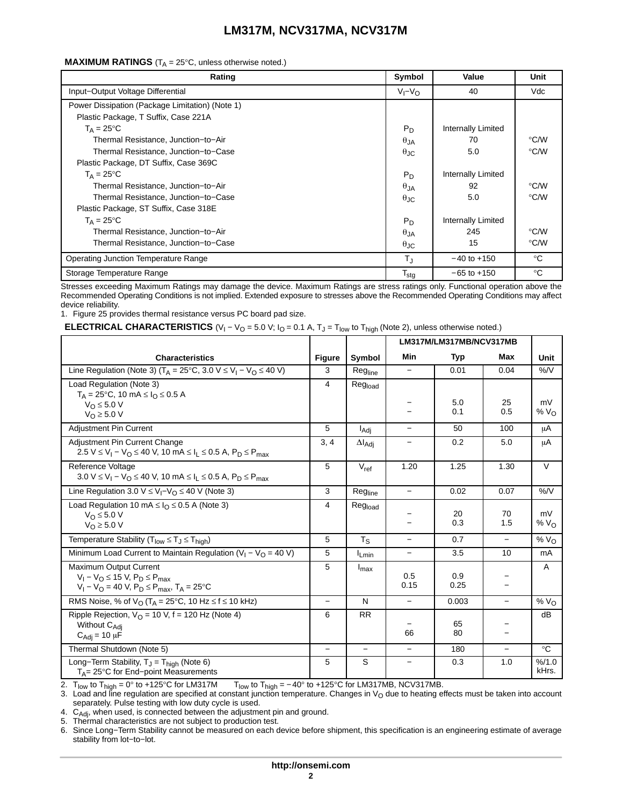#### **MAXIMUM RATINGS**  $(T_A = 25^\circ \text{C},$  unless otherwise noted.)

| Rating                                          | Symbol            | Value              | Unit         |
|-------------------------------------------------|-------------------|--------------------|--------------|
| Input-Output Voltage Differential               | $V_I - V_O$       | 40                 | Vdc          |
| Power Dissipation (Package Limitation) (Note 1) |                   |                    |              |
| Plastic Package, T Suffix, Case 221A            |                   |                    |              |
| $T_A = 25$ °C                                   | $P_D$             | Internally Limited |              |
| Thermal Resistance, Junction-to-Air             | $\theta$ JA       | 70                 | °C/W         |
| Thermal Resistance, Junction-to-Case            | $\theta_{\rm JC}$ | 5.0                | °C/W         |
| Plastic Package, DT Suffix, Case 369C           |                   |                    |              |
| $T_A = 25$ °C                                   | $P_D$             | Internally Limited |              |
| Thermal Resistance, Junction-to-Air             | $\theta$ JA       | 92                 | °C/W         |
| Thermal Resistance, Junction-to-Case            |                   | 5.0                | °C/W         |
| Plastic Package, ST Suffix, Case 318E           |                   |                    |              |
| $T_A = 25^{\circ}C$                             | $P_D$             | Internally Limited |              |
| Thermal Resistance, Junction-to-Air             | $\theta_{JA}$     | 245                | °C/W         |
| Thermal Resistance, Junction-to-Case            | $\theta$ JC       | 15                 | °C/W         |
| Operating Junction Temperature Range            | $T_{\rm J}$       | $-40$ to $+150$    | $^{\circ}$ C |
| Storage Temperature Range                       | $T_{\sf stg}$     | $-65$ to $+150$    | °C           |

Stresses exceeding Maximum Ratings may damage the device. Maximum Ratings are stress ratings only. Functional operation above the Recommended Operating Conditions is not implied. Extended exposure to stresses above the Recommended Operating Conditions may affect device reliability.

1. Figure [25](#page-8-0) provides thermal resistance versus PC board pad size.

**ELECTRICAL CHARACTERISTICS**  $(V_1 - V_0 = 5.0 V; I_0 = 0.1 A, T_J = T_{low}$  to T<sub>high</sub> (Note 2), unless otherwise noted.)

|                                                                                                                                                                 |                          |                          | LM317M/LM317MB/NCV317MB  |             |                          |                  |
|-----------------------------------------------------------------------------------------------------------------------------------------------------------------|--------------------------|--------------------------|--------------------------|-------------|--------------------------|------------------|
| <b>Characteristics</b>                                                                                                                                          | <b>Figure</b>            | Symbol                   | Min                      | <b>Typ</b>  | Max                      | Unit             |
| Line Regulation (Note 3) ( $T_A = 25^{\circ}C$ , 3.0 V $\leq V_1 - V_O \leq 40$ V)                                                                              | 3                        | Regline                  | $\overline{\phantom{0}}$ | 0.01        | 0.04                     | %N               |
| Load Regulation (Note 3)                                                                                                                                        | $\overline{4}$           | Regload                  |                          |             |                          |                  |
| $T_A = 25^{\circ}C$ , 10 mA $\leq I_O \leq 0.5$ A<br>$V_{\Omega} \leq 5.0 V$                                                                                    |                          |                          |                          | 5.0         | 25                       | mV               |
| $V_0 \geq 5.0 V$                                                                                                                                                |                          |                          |                          | 0.1         | 0.5                      | % $VO$           |
| Adjustment Pin Current                                                                                                                                          | 5                        | l <sub>Adi</sub>         | $-$                      | 50          | 100                      | μA               |
| Adjustment Pin Current Change                                                                                                                                   | 3, 4                     | $\Delta I_{\text{Adi}}$  |                          | 0.2         | 5.0                      | μA               |
| $2.5 V \le V_1 - V_0 \le 40 V$ , 10 mA $\le I_L \le 0.5 A$ , $P_D \le P_{max}$                                                                                  |                          |                          |                          |             |                          |                  |
| Reference Voltage<br>3.0 V $\leq$ V <sub>1</sub> – V <sub>O</sub> $\leq$ 40 V, 10 mA $\leq$ I <sub>L</sub> $\leq$ 0.5 A, P <sub>D</sub> $\leq$ P <sub>max</sub> | 5                        | $V_{\text{ref}}$         | 1.20                     | 1.25        | 1.30                     | $\vee$           |
| Line Regulation 3.0 $V \leq V_1 - V_0 \leq 40$ V (Note 3)                                                                                                       | 3                        | Regline                  | $\qquad \qquad -$        | 0.02        | 0.07                     | %N               |
| Load Regulation 10 mA $\leq$ I <sub>O</sub> $\leq$ 0.5 A (Note 3)                                                                                               | $\overline{4}$           | Regload                  |                          |             |                          |                  |
| $V_{\Omega} \leq 5.0 V$                                                                                                                                         |                          |                          |                          | 20<br>0.3   | 70<br>1.5                | mV<br>% $VO$     |
| $V_0 \geq 5.0 V$                                                                                                                                                |                          |                          |                          |             |                          |                  |
| Temperature Stability ( $T_{low} \le T_J \le T_{high}$ )                                                                                                        | 5                        | $T_S$                    |                          | 0.7         | $\overline{\phantom{0}}$ | % $V_{O}$        |
| Minimum Load Current to Maintain Regulation ( $V_1 - V_0 = 40 V$ )                                                                                              | 5                        | $I_{Lmin}$               | —                        | 3.5         | 10                       | mA               |
| Maximum Output Current                                                                                                                                          | 5                        | $I_{\text{max}}$         |                          |             |                          | A                |
| $V_1 - V_O \le 15$ V, $P_D \le P_{max}$                                                                                                                         |                          |                          | 0.5<br>0.15              | 0.9<br>0.25 |                          |                  |
| $V_1 - V_{\Omega} = 40 V$ , $P_{\Omega} \le P_{\text{max}}$ , $T_A = 25^{\circ}C$                                                                               |                          |                          |                          |             |                          |                  |
| RMS Noise, % of $VO$ (T <sub>A</sub> = 25°C, 10 Hz $\leq$ f $\leq$ 10 kHz)                                                                                      | $\overline{\phantom{0}}$ | N                        | $\overline{\phantom{0}}$ | 0.003       | $\overline{\phantom{0}}$ | % $V_{\rm O}$    |
| Ripple Rejection, $V_O = 10$ V, f = 120 Hz (Note 4)                                                                                                             | 6                        | <b>RR</b>                |                          |             |                          | dB               |
| Without C <sub>Adi</sub>                                                                                                                                        |                          |                          | 66                       | 65<br>80    |                          |                  |
| $C_{\text{Adj}} = 10 \mu F$                                                                                                                                     |                          |                          |                          |             |                          |                  |
| Thermal Shutdown (Note 5)                                                                                                                                       | $\overline{\phantom{0}}$ | $\overline{\phantom{0}}$ | $\overline{\phantom{0}}$ | 180         | $\overline{a}$           | $^{\circ}C$      |
| Long-Term Stability, $T_J = T_{high}$ (Note 6)<br>$T_A$ = 25°C for End-point Measurements                                                                       | 5                        | S                        | $\overline{\phantom{0}}$ | 0.3         | 1.0                      | % / 1.0<br>kHrs. |

2.  $\rm\,T_{low}$  to  $\rm\,T_{high}$  = 0° to +125°C for LM317M  $\rm\,T_{low}$  to  $\rm\,T_{high}$  = −40° to +125°C for LM317MB, NCV317MB.

3. Load and line regulation are specified at constant junction temperature. Changes in V<sub>O</sub> due to heating effects must be taken into account separately. Pulse testing with low duty cycle is used.

4. C<sub>Adj</sub>, when used, is connected between the adjustment pin and ground.<br>5. Thermal characteristics are not subject to production test.

6. Since Long−Term Stability cannot be measured on each device before shipment, this specification is an engineering estimate of average stability from lot−to−lot.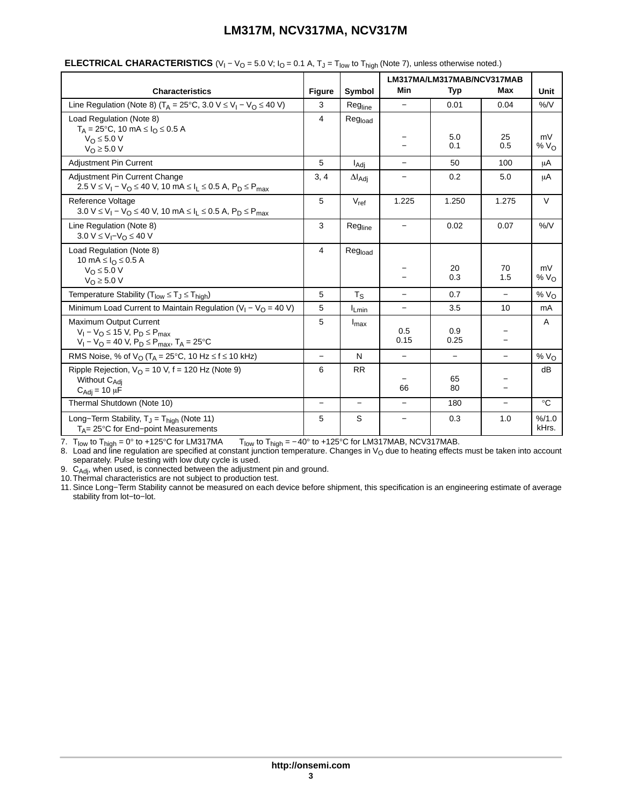|                                                                                                                                                                 |                          |                         | LM317MA/LM317MAB/NCV317MAB |                          |                          |                       |
|-----------------------------------------------------------------------------------------------------------------------------------------------------------------|--------------------------|-------------------------|----------------------------|--------------------------|--------------------------|-----------------------|
| <b>Characteristics</b>                                                                                                                                          | <b>Figure</b>            | Symbol                  | Min                        | <b>Typ</b>               | Max                      | <b>Unit</b>           |
| Line Regulation (Note 8) ( $T_A = 25^{\circ}$ C, 3.0 V $\leq$ V <sub>1</sub> – V <sub>O</sub> $\leq$ 40 V)                                                      | 3                        | Regline                 | $\equiv$                   | 0.01                     | 0.04                     | %N                    |
| Load Regulation (Note 8)<br>$T_A = 25^{\circ}C$ , 10 mA $\leq I_O \leq 0.5$ A<br>$V_O \leq 5.0 V$<br>$V_O \geq 5.0 V$                                           | 4                        | Regload                 |                            | 5.0<br>0.1               | 25<br>0.5                | mV<br>%V <sub>O</sub> |
| <b>Adjustment Pin Current</b>                                                                                                                                   | 5                        | l <sub>Adi</sub>        |                            | 50                       | 100                      | μA                    |
| Adjustment Pin Current Change<br>$2.5 V \le V_1 - V_0 \le 40 V$ , 10 mA $\le I_L \le 0.5 A$ , $P_D \le P_{max}$                                                 | 3, 4                     | $\Delta I_{\text{Adi}}$ | —                          | 0.2                      | 5.0                      | μA                    |
| Reference Voltage<br>3.0 V $\leq$ V <sub>1</sub> – V <sub>O</sub> $\leq$ 40 V, 10 mA $\leq$ I <sub>L</sub> $\leq$ 0.5 A, P <sub>D</sub> $\leq$ P <sub>max</sub> | 5                        | $V_{ref}$               | 1.225                      | 1.250                    | 1.275                    | $\vee$                |
| Line Regulation (Note 8)<br>3.0 $V \le V_I - V_O \le 40 V$                                                                                                      | 3                        | Regline                 |                            | 0.02                     | 0.07                     | %N                    |
| Load Regulation (Note 8)<br>10 mA $\leq$ $I_{\text{O}} \leq 0.5$ A<br>$V_{\Omega} \leq 5.0 V$<br>$V_{\Omega} \geq 5.0 V$                                        | 4                        | Reg <sub>load</sub>     |                            | 20<br>0.3                | 70<br>1.5                | mV<br>% $V_{O}$       |
| Temperature Stability ( $T_{low} \le T_J \le T_{high}$ )                                                                                                        | 5                        | $T_S$                   | $\qquad \qquad -$          | 0.7                      | $\overline{\phantom{0}}$ | %V <sub>O</sub>       |
| Minimum Load Current to Maintain Regulation ( $V_1 - V_0 = 40 V$ )                                                                                              | 5                        | <b>I</b> Lmin           |                            | 3.5                      | 10                       | mA                    |
| Maximum Output Current<br>$V_1 - V_O \le 15$ V, $P_D \le P_{max}$<br>$V_1 - V_O = 40 V$ , $P_D \le P_{max}$ , $T_A = 25^{\circ}C$                               | 5                        | $I_{\text{max}}$        | 0.5<br>0.15                | 0.9<br>0.25              |                          | Α                     |
| RMS Noise, % of $V_O$ (T <sub>A</sub> = 25°C, 10 Hz $\leq$ f $\leq$ 10 kHz)                                                                                     | $\equiv$                 | N                       | $\overline{\phantom{0}}$   | $\overline{\phantom{0}}$ |                          | % $VO$                |
| Ripple Rejection, $V_O = 10$ V, f = 120 Hz (Note 9)<br>Without C <sub>Adi</sub><br>$C_{\text{Adj}} = 10 \mu F$                                                  | 6                        | <b>RR</b>               | 66                         | 65<br>80                 |                          | dB                    |
| Thermal Shutdown (Note 10)                                                                                                                                      | $\overline{\phantom{0}}$ | $\equiv$                | $\equiv$                   | 180                      | $\equiv$                 | $^{\circ}C$           |
| Long-Term Stability, $T_J = T_{high}$ (Note 11)<br>$T_A$ = 25 $\degree$ C for End-point Measurements                                                            | 5                        | S                       | $\qquad \qquad -$          | 0.3                      | 1.0                      | % / 1.0<br>kHrs.      |

### **ELECTRICAL CHARACTERISTICS** (V<sub>I</sub> − V<sub>O</sub> = 5.0 V; I<sub>O</sub> = 0.1 A, T<sub>J</sub> = T<sub>low</sub> to T<sub>high</sub> (Note 7), unless otherwise noted.)

7.  $\;$  T<sub>low</sub> to T<sub>high</sub> = 0° to +125°C for LM317MA  $\;$  T<sub>low</sub> to T<sub>high</sub> = −40° to +125°C for LM317MAB, NCV317MAB.

8. Load and line regulation are specified at constant junction temperature. Changes in V<sub>O</sub> due to heating effects must be taken into account<br>separately. Pulse testing with low duty cycle is used.

9. C<sub>Adj</sub>, when used, is connected between the adjustment pin and ground.<br>10.Thermal characteristics are not subject to production test.

11. Since Long−Term Stability cannot be measured on each device before shipment, this specification is an engineering estimate of average stability from lot−to−lot.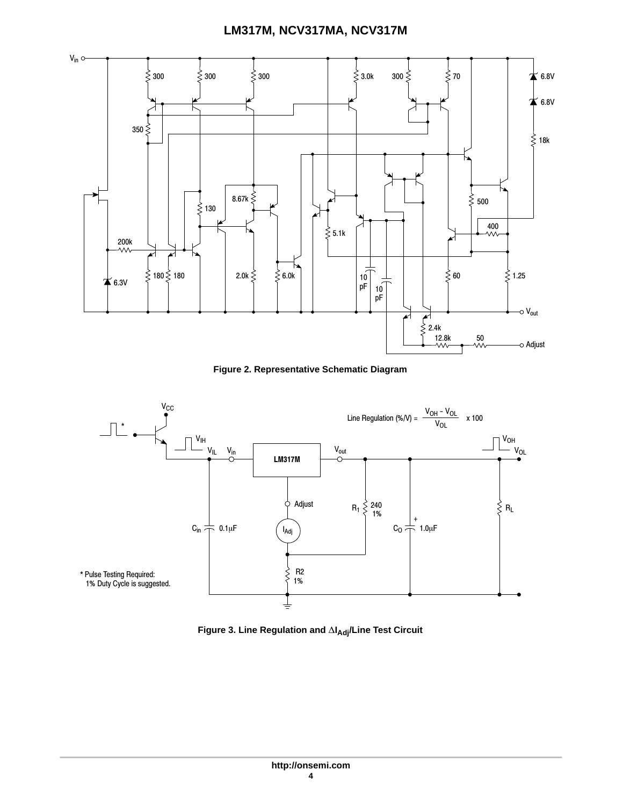<span id="page-3-0"></span>

**Figure 2. Representative Schematic Diagram**



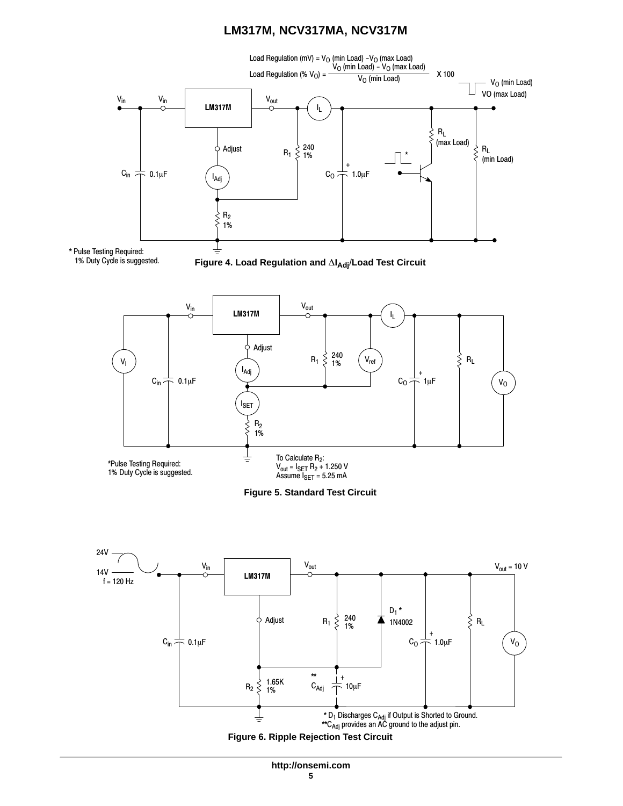<span id="page-4-0"></span>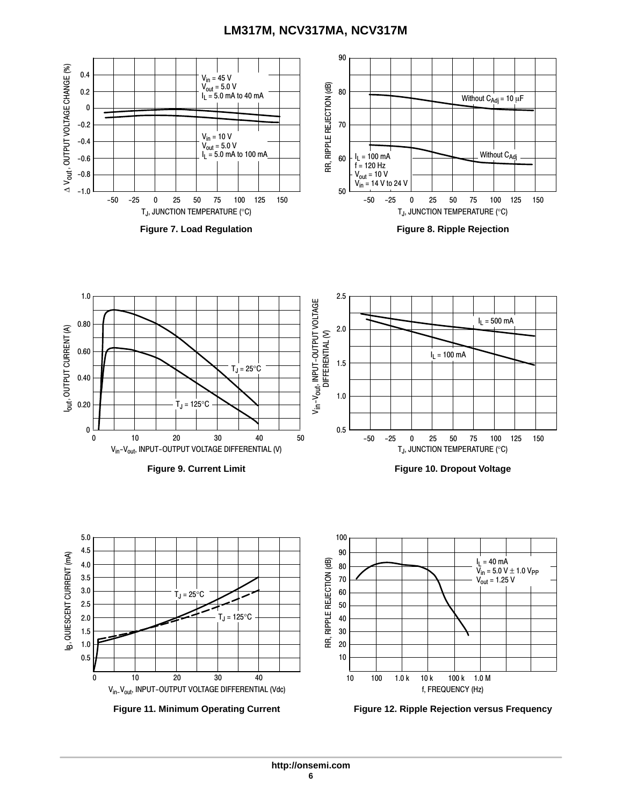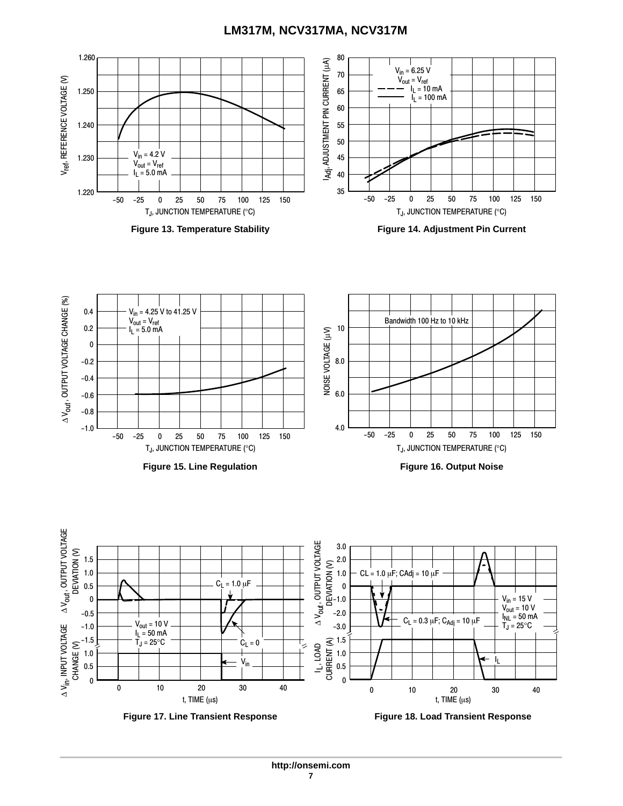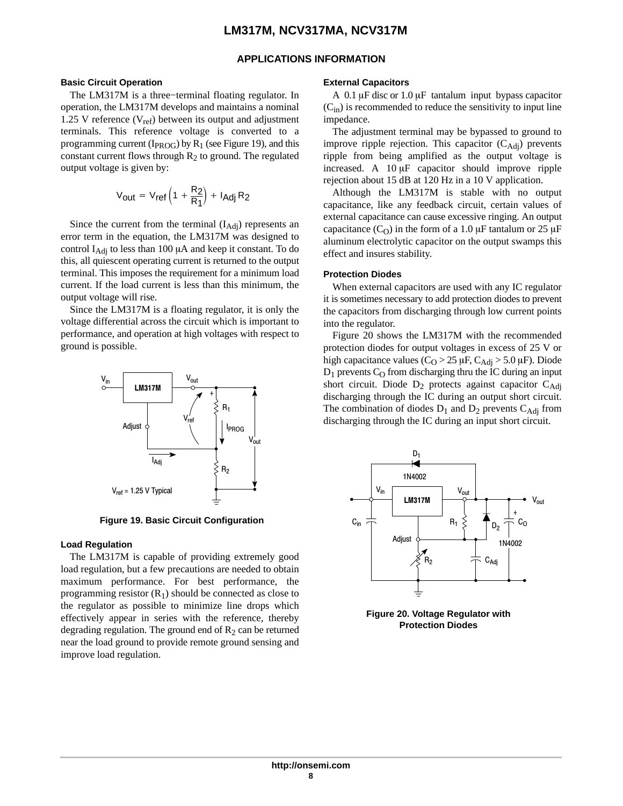#### **APPLICATIONS INFORMATION**

#### **Basic Circuit Operation**

The LM317M is a three−terminal floating regulator. In operation, the LM317M develops and maintains a nominal 1.25 V reference  $(V_{ref})$  between its output and adjustment terminals. This reference voltage is converted to a programming current ( $I_{PROG}$ ) by  $R_1$  (see Figure 19), and this constant current flows through  $R_2$  to ground. The regulated output voltage is given by:

$$
V_{\text{out}} = V_{\text{ref}} \left( 1 + \frac{R_2}{R_1} \right) + I_{\text{Adj}} R_2
$$

Since the current from the terminal  $(I_{\text{Adj}})$  represents an error term in the equation, the LM317M was designed to control  $I_{\rm Adj}$  to less than  $100\ \mu A$  and keep it constant. To do this, all quiescent operating current is returned to the output terminal. This imposes the requirement for a minimum load current. If the load current is less than this minimum, the output voltage will rise.

Since the LM317M is a floating regulator, it is only the voltage differential across the circuit which is important to performance, and operation at high voltages with respect to ground is possible.



**Figure 19. Basic Circuit Configuration**

#### **Load Regulation**

The LM317M is capable of providing extremely good load regulation, but a few precautions are needed to obtain maximum performance. For best performance, the programming resistor  $(R_1)$  should be connected as close to the regulator as possible to minimize line drops which effectively appear in series with the reference, thereby degrading regulation. The ground end of  $R_2$  can be returned near the load ground to provide remote ground sensing and improve load regulation.

#### **External Capacitors**

A  $0.1 \mu$ F disc or  $1.0 \mu$ F tantalum input bypass capacitor  $(C_{in})$  is recommended to reduce the sensitivity to input line impedance.

The adjustment terminal may be bypassed to ground to improve ripple rejection. This capacitor  $(C_{\text{Adj}})$  prevents ripple from being amplified as the output voltage is increased. A  $10 \mu$ F capacitor should improve ripple rejection about 15 dB at 120 Hz in a 10 V application.

Although the LM317M is stable with no output capacitance, like any feedback circuit, certain values of external capacitance can cause excessive ringing. An output capacitance  $(C_O)$  in the form of a 1.0  $\mu$ F tantalum or 25  $\mu$ F aluminum electrolytic capacitor on the output swamps this effect and insures stability.

#### **Protection Diodes**

When external capacitors are used with any IC regulator it is sometimes necessary to add protection diodes to prevent the capacitors from discharging through low current points into the regulator.

Figure 20 shows the LM317M with the recommended protection diodes for output voltages in excess of 25 V or high capacitance values ( $C_O > 25 \mu$ F,  $C_{\text{Adj}} > 5.0 \mu$ F). Diode  $D_1$  prevents  $C_0$  from discharging thru the IC during an input short circuit. Diode  $D_2$  protects against capacitor  $C_{\text{Adj}}$ discharging through the IC during an output short circuit. The combination of diodes  $D_1$  and  $D_2$  prevents  $C_{\text{Adj}}$  from discharging through the IC during an input short circuit.



**Figure 20. Voltage Regulator with Protection Diodes**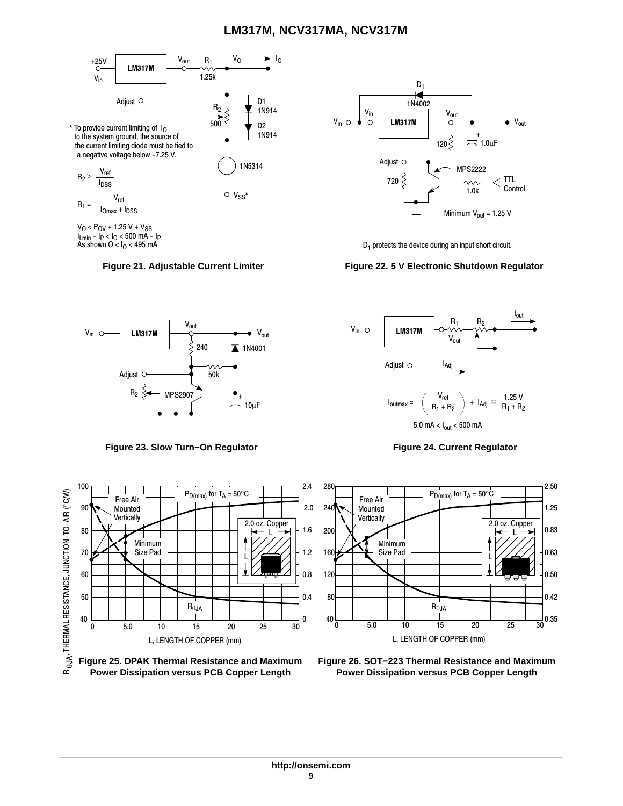<span id="page-8-0"></span>

As shown  $0 < I<sub>0</sub> < 495$  mA



**Figure 23. Slow Turn−On Regulator Figure 24. Current Regulator**







 $D_1$  protects the device during an input short circuit.

### **Figure 21. Adjustable Current Limiter Figure 22. 5 V Electronic Shutdown Regulator**





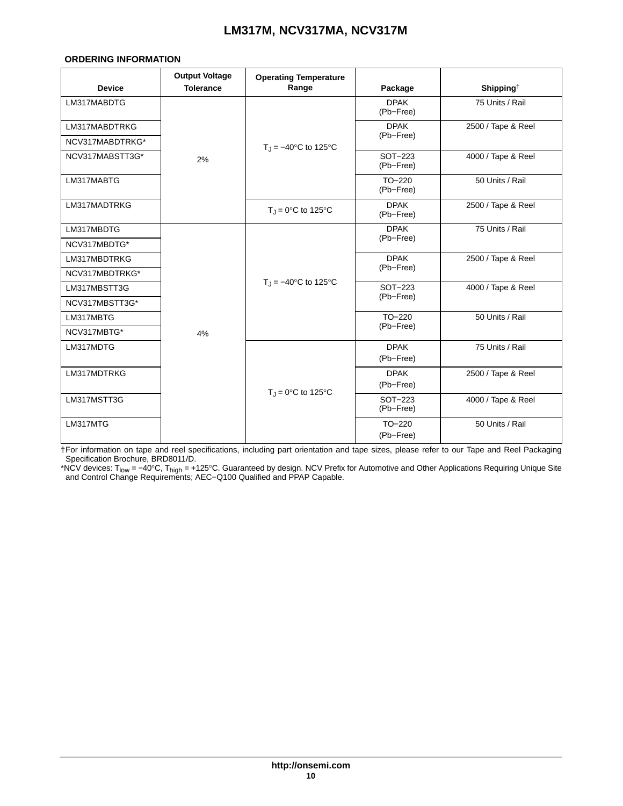#### <span id="page-9-0"></span>**ORDERING INFORMATION**

| <b>Device</b>   | <b>Output Voltage</b><br><b>Tolerance</b> | <b>Operating Temperature</b><br>Range   | Package                     | Shipping <sup><math>\dagger</math></sup> |
|-----------------|-------------------------------------------|-----------------------------------------|-----------------------------|------------------------------------------|
| LM317MABDTG     |                                           |                                         | <b>DPAK</b><br>(Pb-Free)    | 75 Units / Rail                          |
| LM317MABDTRKG   |                                           |                                         | <b>DPAK</b>                 | 2500 / Tape & Reel                       |
| NCV317MABDTRKG* |                                           | $T_{\text{J}} = -40^{\circ}$ C to 125°C | (Pb-Free)                   |                                          |
| NCV317MABSTT3G* | 2%                                        |                                         | SOT-223<br>(Pb-Free)        | 4000 / Tape & Reel                       |
| LM317MABTG      |                                           |                                         | $TO-220$<br>(Pb-Free)       | 50 Units / Rail                          |
| LM317MADTRKG    |                                           | $T_{\text{d}} = 0^{\circ}C$ to 125°C    | <b>DPAK</b><br>(Pb-Free)    | 2500 / Tape & Reel                       |
| LM317MBDTG      |                                           | $T_1 = -40^\circ \text{C}$ to 125°C     | <b>DPAK</b>                 | 75 Units / Rail                          |
| NCV317MBDTG*    |                                           |                                         | (Pb-Free)                   |                                          |
| LM317MBDTRKG    |                                           |                                         | <b>DPAK</b>                 | 2500 / Tape & Reel                       |
| NCV317MBDTRKG*  |                                           |                                         | (Pb-Free)                   |                                          |
| LM317MBSTT3G    |                                           |                                         | <b>SOT-223</b><br>(Pb-Free) | 4000 / Tape & Reel                       |
| NCV317MBSTT3G*  |                                           |                                         |                             |                                          |
| LM317MBTG       |                                           |                                         | TO-220<br>(Pb-Free)         | 50 Units / Rail                          |
| NCV317MBTG*     | 4%                                        |                                         |                             |                                          |
| LM317MDTG       |                                           |                                         | <b>DPAK</b>                 | 75 Units / Rail                          |
|                 |                                           |                                         | (Pb-Free)                   |                                          |
| LM317MDTRKG     |                                           | $T_{\text{J}} = 0^{\circ}C$ to 125°C    | <b>DPAK</b><br>(Pb-Free)    | 2500 / Tape & Reel                       |
| LM317MSTT3G     |                                           |                                         | SOT-223                     | 4000 / Tape & Reel                       |
|                 |                                           |                                         | (Pb-Free)                   |                                          |
| LM317MTG        |                                           |                                         | $TO-220$<br>(Pb-Free)       | 50 Units / Rail                          |

†For information on tape and reel specifications, including part orientation and tape sizes, please refer to our Tape and Reel Packaging Specification Brochure, BRD8011/D.

\*NCV devices: T<sub>low</sub> = –40°C, T<sub>high</sub> = +125°C. Guaranteed by design. NCV Prefix for Automotive and Other Applications Requiring Unique Site<br>and Control Change Requirements; AEC–Q100 Qualified and PPAP Capable.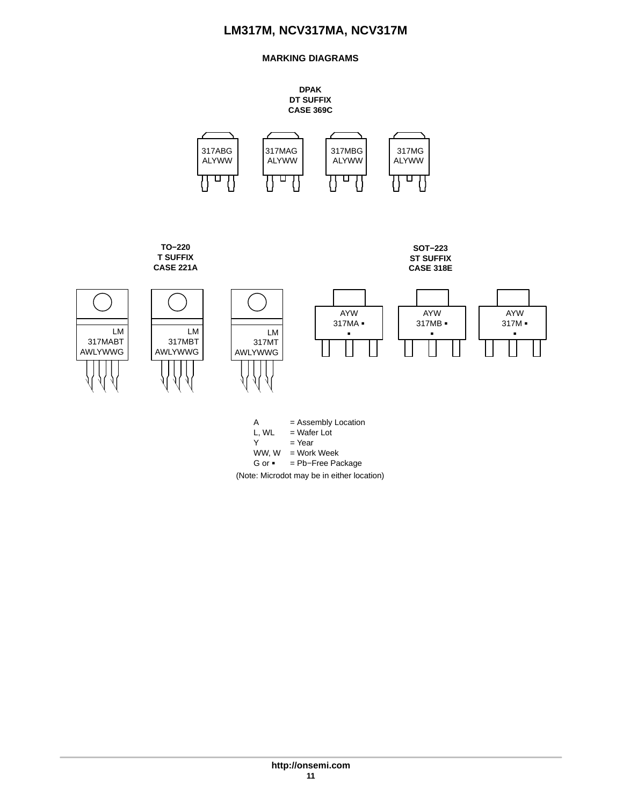### **MARKING DIAGRAMS**

<span id="page-10-0"></span>

WW, W = Work Week

LM 317MABT AWLYWWG

> G or -= Pb−Free Package

(Note: Microdot may be in either location)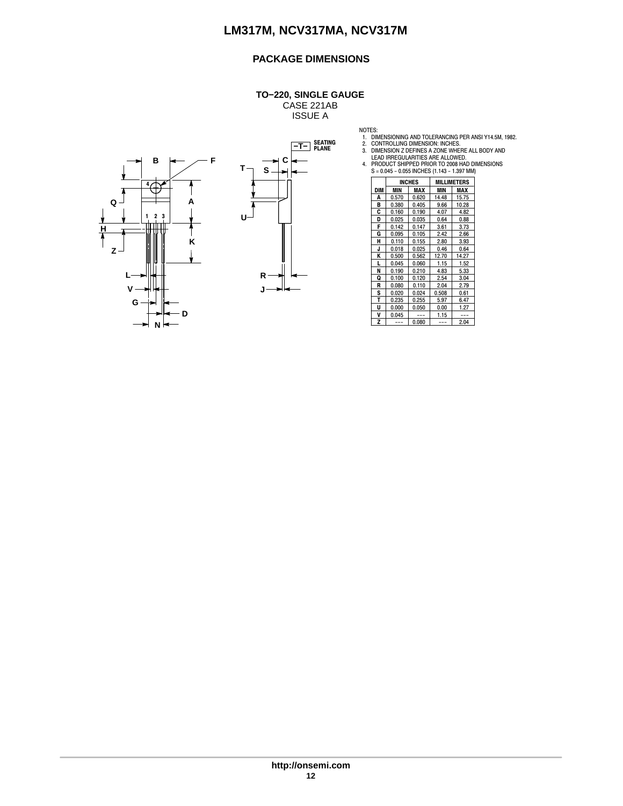### **PACKAGE DIMENSIONS**

#### **TO−220, SINGLE GAUGE**

CASE 221AB ISSUE A





- 
- NOTES:<br>
1. DIMENSIONING AND TOLERANCING PER ANSI Y14.5M, 1982.<br>
2. CONTROLLING DIMENSION: INCHES.<br>
3. DIMENSION Z DEFINES ARE ALLOWED.<br>
LEAD IRREGULARITIES ARE ALLOWED.<br>
4. PRODUCT SHIPPED PRIOR TO 2008 HAD DIMENSIONS<br>
5.

|            |       | <b>INCHES</b> | MILLIMETERS |       |  |  |
|------------|-------|---------------|-------------|-------|--|--|
| <b>DIM</b> | MIN   | MAX           | MIN         | MAX   |  |  |
| A          | 0.570 | 0.620         | 14.48       | 15.75 |  |  |
| B          | 0.380 | 0.405         | 9.66        | 10.28 |  |  |
| C          | 0.160 | 0.190         | 4.07        | 4.82  |  |  |
| D          | 0.025 | 0.035         | 0.64        | 0.88  |  |  |
| F          | 0.142 | 0.147         | 3.61        | 3.73  |  |  |
| G          | 0.095 | 0.105         | 2.42        | 2.66  |  |  |
| H          | 0.110 | 0.155         | 2.80        | 3.93  |  |  |
| J          | 0.018 | 0.025         | 0.46        | 0.64  |  |  |
| Κ          | 0.500 | 0.562         | 12.70       | 14.27 |  |  |
| L          | 0.045 | 0.060         | 1.15        | 1.52  |  |  |
| N          | 0.190 | 0.210         | 4.83        | 5.33  |  |  |
| Q          | 0.100 | 0.120         | 2.54        | 3.04  |  |  |
| R          | 0.080 | 0.110         | 2.04        | 2.79  |  |  |
| S          | 0.020 | 0.024         | 0.508       | 0.61  |  |  |
| T          | 0.235 | 0.255         | 5.97        | 6.47  |  |  |
| U          | 0.000 | 0.050         | 0.00        | 1.27  |  |  |
| ٧          | 0.045 |               | 1.15        |       |  |  |
| Z          |       | 0.080         |             | 2.04  |  |  |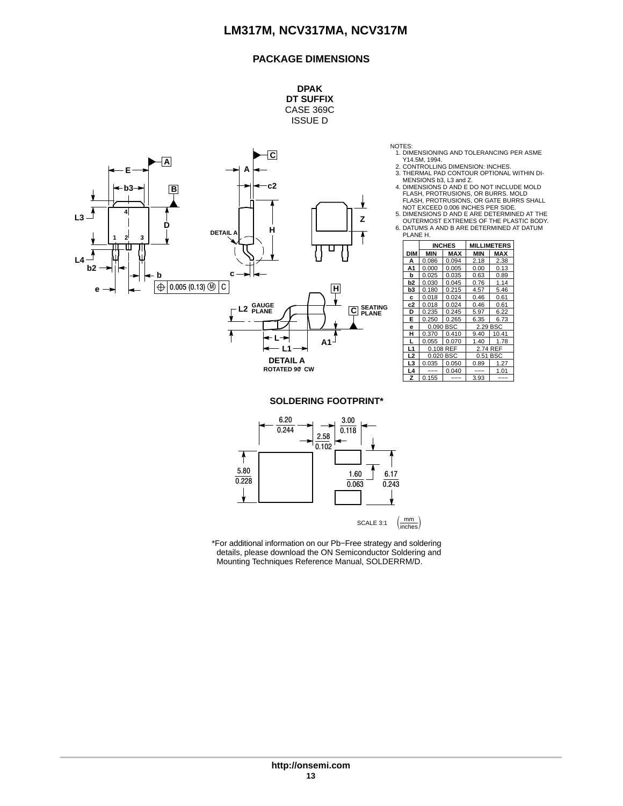#### **PACKAGE DIMENSIONS**

**DPAK DT SUFFIX** CASE 369C ISSUE D



NOTES:

- 1. DIMENSIONING AND TOLERANCING PER ASME Y14.5M, 1994.
- 2. CONTROLLING DIMENSION: INCHES. 3. THERMAL PAD CONTOUR OPTIONAL WITHIN DI-MENSIONS b3, L3 and Z.
- 4. DIMENSIONS D AND E DO NOT INCLUDE MOLD FLASH, PROTRUSIONS, OR BURRS. MOLD FLASH, PROTRUSIONS, OR GATE BURRS SHALL NOT EXCEED 0.006 INCHES PER SIDE.
- 5. DIMENSIONS D AND E ARE DETERMINED AT THE OUTERMOST EXTREMES OF THE PLASTIC BODY.
- 6. DATUMS A AND B ARE DETERMINED AT DATUM

|                | PLANE H.   |               |                    |            |  |  |  |  |
|----------------|------------|---------------|--------------------|------------|--|--|--|--|
|                |            | <b>INCHES</b> | <b>MILLIMETERS</b> |            |  |  |  |  |
| <b>DIM</b>     | <b>MIN</b> | <b>MAX</b>    | MIN                | MAX        |  |  |  |  |
| А              | 0.086      | 0.094         | 2.18               | 2.38       |  |  |  |  |
| A1             | 0.000      | 0.005         | 0.00               | 0.13       |  |  |  |  |
| b              | 0.025      | 0.035         | 0.63               | 0.89       |  |  |  |  |
| b2             | 0.030      | 0.045         | 0.76               | 1.14       |  |  |  |  |
| b <sub>3</sub> | 0.180      | 0.215         | 4.57               | 5.46       |  |  |  |  |
| C              | 0.018      | 0.024         | 0.46               | 0.61       |  |  |  |  |
| c2             | 0.018      | 0.024         | 0.46               | 0.61       |  |  |  |  |
| D              | 0.235      | 0.245         | 5.97               | 6.22       |  |  |  |  |
| E              | 0.250      | 0.265         | 6.35               | 6.73       |  |  |  |  |
| e              | 0.090      | <b>BSC</b>    | <b>BSC</b><br>2.29 |            |  |  |  |  |
| н              | 0.370      | 0.410         | 9.40               | 10.41      |  |  |  |  |
| L              | 0.055      | 0.070         | 1.40               | 1.78       |  |  |  |  |
| L1             | 0.108 REF  |               | 2.74 REF           |            |  |  |  |  |
| L <sub>2</sub> | 0.020 BSC  |               | 0.51               | <b>BSC</b> |  |  |  |  |
| L <sub>3</sub> | 0.035      | 0.050         | 0.89               | 1.27       |  |  |  |  |
| L4             |            | 0.040         |                    | 1.01       |  |  |  |  |
| z              | 0.155      |               | 3.93               |            |  |  |  |  |

**SOLDERING FOOTPRINT\***



\*For additional information on our Pb−Free strategy and soldering details, please download the ON Semiconductor Soldering and Mounting Techniques Reference Manual, SOLDERRM/D.